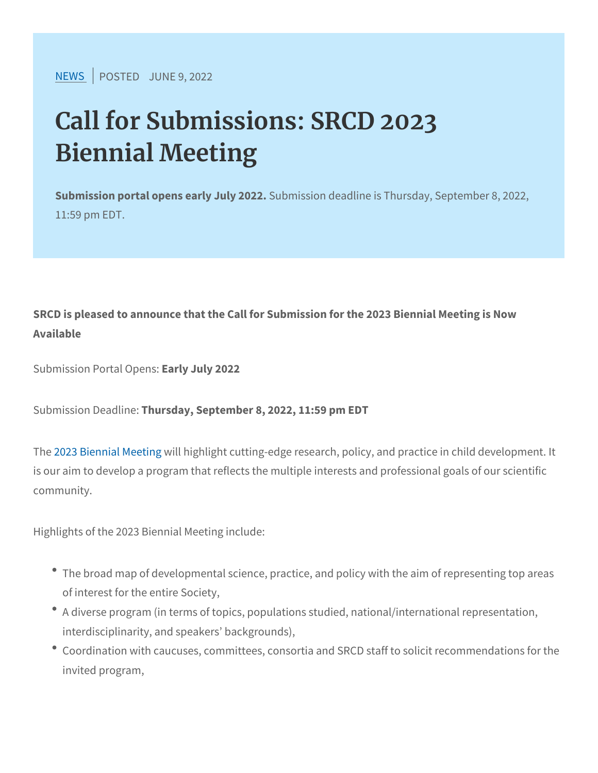$NEW$ SPOSTEJDUNE 9, 2022

## Call for Submissions: SRCD 2023 Biennial Meeting

Submission portal opens eSaurbymiJsusliyo 20d2e2adline is Thursday, Septe 11:59 pm EDT.

SRCD is pleased to announce that the Call for Submission for the 2 Available

Submission Portal an Oupe July 2022

Submission Deaddisday, September 8, 2022, 11:59 pm EDT

T[he 2023 Biennia](https://www.srcd.org/event/srcd-2023-biennial-meeting)l will be thight ght cutting-edge research, policy, and practice in child development. It also is our aim to develop a program that reflects the multiple interests community.

Highlights of the 2023 Biennial Meeting include:

- \* The broad map of developmental science, practice, and policy w of interest for the entire Society,
- \* A diverse program (in terms of topics, populations studied, nati interdisciplinarity, and speakers backgrounds),
- Coordination with caucuses, committees, consortia and SRCD st invited program,